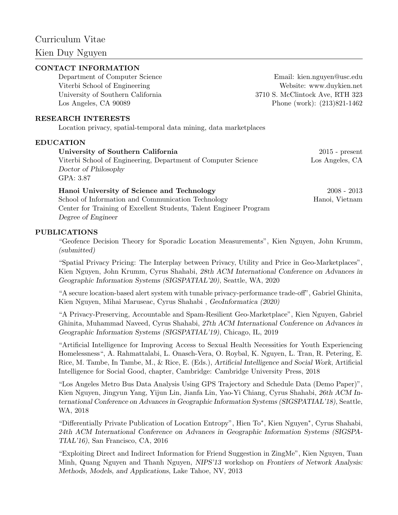# Curriculum Vitae

# Kien Duy Nguyen

# CONTACT INFORMATION

Department of Computer Science Email: kien.nguyen@usc.edu Viterbi School of Engineering Website: www.duykien.net University of Southern California 3710 S. McClintock Ave, RTH 323 Los Angeles, CA 90089 Phone (work): (213)821-1462

#### RESEARCH INTERESTS

Location privacy, spatial-temporal data mining, data marketplaces

#### EDUCATION

| University of Southern California                                  | $2015$ - present |
|--------------------------------------------------------------------|------------------|
| Viterbi School of Engineering, Department of Computer Science      | Los Angeles, CA  |
| Doctor of Philosophy                                               |                  |
| GPA: 3.87                                                          |                  |
| Hanoi University of Science and Technology                         | $2008 - 2013$    |
| School of Information and Communication Technology                 | Hanoi, Vietnam   |
| Center for Training of Excellent Students, Talent Engineer Program |                  |

Degree of Engineer

## PUBLICATIONS

"Geofence Decision Theory for Sporadic Location Measurements", Kien Nguyen, John Krumm, (submitted)

"Spatial Privacy Pricing: The Interplay between Privacy, Utility and Price in Geo-Marketplaces", Kien Nguyen, John Krumm, Cyrus Shahabi, 28th ACM International Conference on Advances in Geographic Information Systems (SIGSPATIAL'20), Seattle, WA, 2020

"A secure location-based alert system with tunable privacy-performance trade-off", Gabriel Ghinita, Kien Nguyen, Mihai Maruseac, Cyrus Shahabi, GeoInformatica (2020)

"A Privacy-Preserving, Accountable and Spam-Resilient Geo-Marketplace", Kien Nguyen, Gabriel Ghinita, Muhammad Naveed, Cyrus Shahabi, 27th ACM International Conference on Advances in Geographic Information Systems (SIGSPATIAL'19), Chicago, IL, 2019

"Artificial Intelligence for Improving Access to Sexual Health Necessities for Youth Experiencing Homelessness", A. Rahmattalabi, L. Onasch-Vera, O. Roybal, K. Nguyen, L. Tran, R. Petering, E. Rice, M. Tambe, In Tambe, M., & Rice, E. (Eds.), Artificial Intelligence and Social Work, Artificial Intelligence for Social Good, chapter, Cambridge: Cambridge University Press, 2018

"Los Angeles Metro Bus Data Analysis Using GPS Trajectory and Schedule Data (Demo Paper)", Kien Nguyen, Jingyun Yang, Yijun Lin, Jianfa Lin, Yao-Yi Chiang, Cyrus Shahabi, 26th ACM International Conference on Advances in Geographic Information Systems (SIGSPATIAL'18), Seattle, WA, 2018

"Differentially Private Publication of Location Entropy", Hien To<sup>∗</sup> , Kien Nguyen<sup>∗</sup> , Cyrus Shahabi, 24th ACM International Conference on Advances in Geographic Information Systems (SIGSPA-TIAL'16), San Francisco, CA, 2016

"Exploiting Direct and Indirect Information for Friend Suggestion in ZingMe", Kien Nguyen, Tuan Minh, Quang Nguyen and Thanh Nguyen, NIPS'13 workshop on Frontiers of Network Analysis: Methods, Models, and Applications, Lake Tahoe, NV, 2013